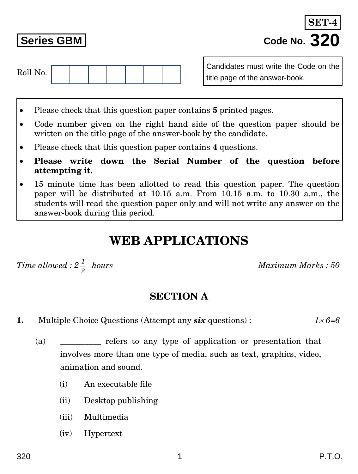Roll No.

- Please check that this question paper contains **5** printed pages.
- Code number given on the right hand side of the question paper should be written on the title page of the answer-book by the candidate.
- Please check that this question paper contains **4** questions.
- **Please write down the Serial Number of the question before attempting it.**
- 15 minute time has been allotted to read this question paper. The question paper will be distributed at 10.15 a.m. From 10.15 a.m. to 10.30 a.m., the students will read the question paper only and will not write any answer on the answer-book during this period.

# **WEB APPLICATIONS**

*Time allowe 2 1*

 *hours Maximum Marks : 50*

#### **SECTION A**

- **1.** Multiple Choice Questions (Attempt any *six* questions) :  $1 \times 6 = 6$ 
	- (a) express to any type of application or presentation that involves more than one type of media, such as text, graphics, video, animation and sound.
		- (i) An executable file
		- (ii) Desktop publishing
		- (iii) Multimedia
		- (iv) Hypertext

**Series GBM Code No. 320 SET-4**

Candidates must write the Code on the title page of the answer-book.

$$
ed: 2\frac{1}{\pi} \ \; hours
$$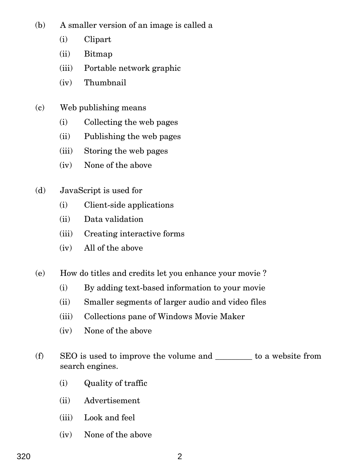(b) A smaller version of an image is called a

- (i) Clipart
- (ii) Bitmap
- (iii) Portable network graphic
- (iv) Thumbnail
- (c) Web publishing means
	- (i) Collecting the web pages
	- (ii) Publishing the web pages
	- (iii) Storing the web pages
	- (iv) None of the above
- (d) JavaScript is used for
	- (i) Client-side applications
	- (ii) Data validation
	- (iii) Creating interactive forms
	- (iv) All of the above
- (e) How do titles and credits let you enhance your movie ?
	- (i) By adding text-based information to your movie
	- (ii) Smaller segments of larger audio and video files
	- (iii) Collections pane of Windows Movie Maker
	- (iv) None of the above
- (f) SEO is used to improve the volume and  $\qquad \qquad$  to a website from search engines.
	- (i) Quality of traffic
	- (ii) Advertisement
	- (iii) Look and feel
	- (iv) None of the above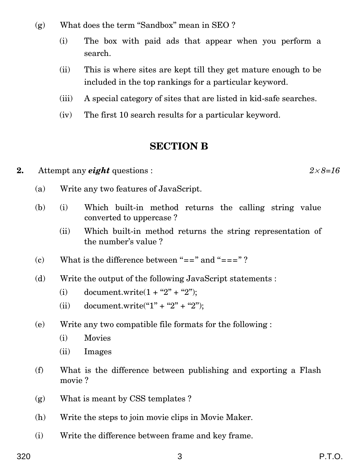- (g) What does the term ''Sandbox'' mean in SEO ?
	- (i) The box with paid ads that appear when you perform a search.
	- (ii) This is where sites are kept till they get mature enough to be included in the top rankings for a particular keyword.
	- (iii) A special category of sites that are listed in kid-safe searches.
	- (iv) The first 10 search results for a particular keyword.

#### **SECTION B**

- **2.** Attempt any *eight* questions :  $2 \times 8 = 16$ 
	- (a) Write any two features of JavaScript.
	- (b) (i) Which built-in method returns the calling string value converted to uppercase ?
		- (ii) Which built-in method returns the string representation of the number's value ?
	- (c) What is the difference between "==" and "===" ?
	- (d) Write the output of the following JavaScript statements :
		- (i) document.write $(1 + "2" + "2")$ ;
		- (ii) document.write("1" + "2" + "2");
	- (e) Write any two compatible file formats for the following :
		- (i) Movies
		- (ii) Images
	- (f) What is the difference between publishing and exporting a Flash movie ?
	- (g) What is meant by CSS templates ?
	- (h) Write the steps to join movie clips in Movie Maker.
	- (i) Write the difference between frame and key frame.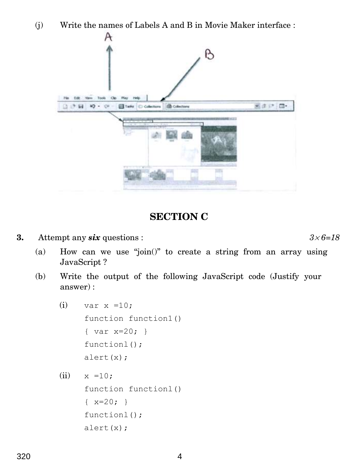(j) Write the names of Labels A and B in Movie Maker interface :



### **SECTION C**

**3.** Attempt any *six* questions :  $3 \times 6 = 18$ 

(a) How can we use ''join()'' to create a string from an array using JavaScript ?

- (b) Write the output of the following JavaScript code (Justify your answer) :
	- (i) var  $x = 10$ ; function function1() { var x=20; } functionl(); alert(x);
	- $(ii) \t x =10;$ function functionl()  $\{ x=20; \}$ functionl(); alert(x);